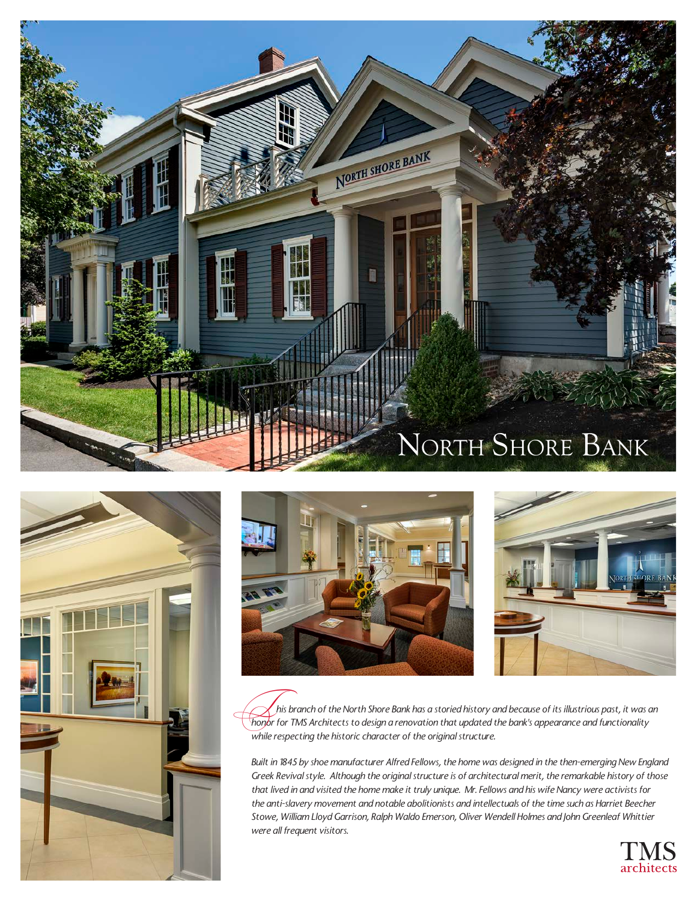







 *his branch of the North Shore Bank has a storied history and because of its illustrious past, it was an*  his branch of the North Shore Bank has a storied history and because of its illustrious past, it was a formation that updated the bank's appearance and functionality *honor for TMS Architects to design a renovation that up while respecting the historic character of the original structure.*

*Built in 1845 by shoe manufacturer Alfred Fellows, the home was designed in the then-emerging New England Greek Revival style. Although the original structure is of architectural merit, the remarkable history of those that lived in and visited the home make it truly unique. Mr. Fellows and his wife Nancy were activists for the anti-slavery movement and notable abolitionists and intellectuals of the time such as Harriet Beecher Stowe, William Lloyd Garrison, Ralph Waldo Emerson, Oliver Wendell Holmes and John Greenleaf Whittier were all frequent visitors.*